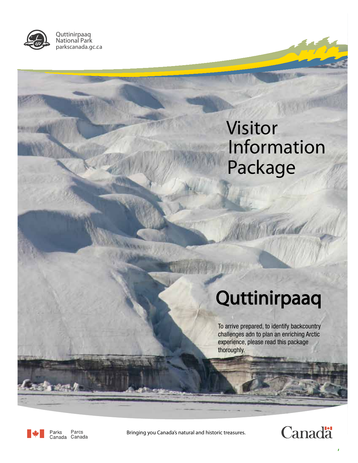

Quttinirpaaq National Park parkscanada.gc.ca

# Visitor Information Package

Today

# **Quttinirpaaq**

To arrive prepared, to identify backcountry challenges adn to plan an enriching Arctic experience, please read this package thoroughly.



Parcs Parks Canada Canada

Bringing you Canada's natural and historic treasures.



i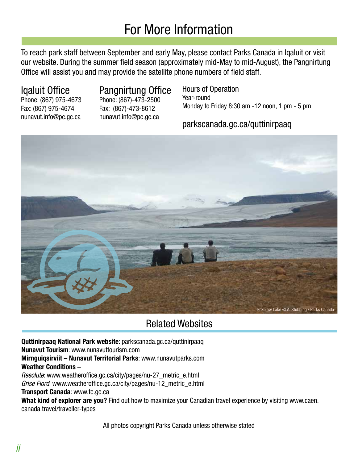### For More Information

To reach park staff between September and early May, please contact Parks Canada in Iqaluit or visit our website. During the summer field season (approximately mid-May to mid-August), the Pangnirtung Office will assist you and may provide the satellite phone numbers of field staff.

Fax: (867) 975-4674 Fax: (867)-473-8612

#### Iqaluit Office Pangnirtung Office

Phone: (867) 975-4673 Phone: (867)-473-2500 nunavut.info@pc.gc.ca nunavut.info@pc.gc.ca

Hours of Operation Year-round Monday to Friday 8:30 am -12 noon, 1 pm - 5 pm

#### parkscanada.gc.ca/quttinirpaaq



#### Related Websites

**Quttinirpaaq National Park website**: parkscanada.gc.ca/quttinirpaaq **Nunavut Tourism**: www.nunavuttourism.com **Mirnguiqsirviit – Nunavut Territorial Parks**: www.nunavutparks.com **Weather Conditions –** Resolute: www.weatheroffice.gc.ca/city/pages/nu-27\_metric\_e.html Grise Fiord: www.weatheroffice.gc.ca/city/pages/nu-12\_metric\_e.html

#### **Transport Canada**: www.tc.gc.ca

**What kind of explorer are you?** Find out how to maximize your Canadian travel experience by visiting www.caen. canada.travel/traveller-types

All photos copyright Parks Canada unless otherwise stated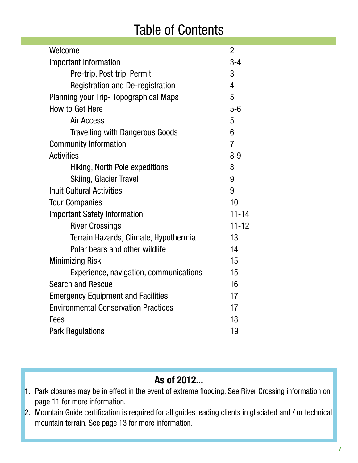### Table of Contents

| Welcome                                       | 2              |
|-----------------------------------------------|----------------|
| <b>Important Information</b>                  |                |
| Pre-trip, Post trip, Permit                   |                |
| <b>Registration and De-registration</b>       | 4              |
| <b>Planning your Trip- Topographical Maps</b> | 5              |
| How to Get Here                               |                |
| <b>Air Access</b>                             | 5              |
| <b>Travelling with Dangerous Goods</b>        | 6              |
| <b>Community Information</b>                  | $\overline{7}$ |
| <b>Activities</b>                             | $8 - 9$        |
| Hiking, North Pole expeditions                | 8              |
| <b>Skiing, Glacier Travel</b>                 | 9              |
| <b>Inuit Cultural Activities</b>              | 9              |
| <b>Tour Companies</b>                         | 10             |
| <b>Important Safety Information</b>           | $11 - 14$      |
| <b>River Crossings</b>                        | $11 - 12$      |
| Terrain Hazards, Climate, Hypothermia         | 13             |
| Polar bears and other wildlife                | 14             |
| <b>Minimizing Risk</b>                        |                |
| Experience, navigation, communications        | 15             |
| <b>Search and Rescue</b>                      |                |
| <b>Emergency Equipment and Facilities</b>     |                |
| <b>Environmental Conservation Practices</b>   |                |
| Fees                                          |                |
| <b>Park Regulations</b>                       |                |

#### **As of 2012...**

- 1. Park closures may be in effect in the event of extreme flooding. See River Crossing information on page 11 for more information.
- 2. Mountain Guide certification is required for all guides leading clients in glaciated and / or technical mountain terrain. See page 13 for more information.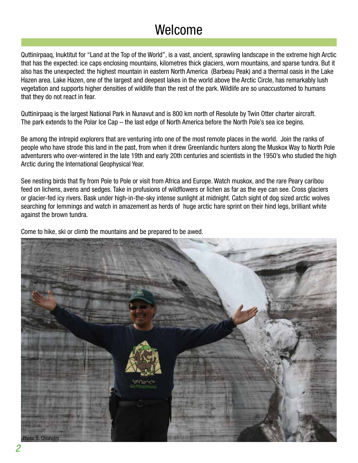### Welcome

Quttinirpaaq, Inuktitut for "Land at the Top of the World", is a vast, ancient, sprawling landscape in the extreme high Arctic that has the expected: ice caps enclosing mountains, kilometres thick glaciers, worn mountains, and sparse tundra. But it also has the unexpected: the highest mountain in eastern North America (Barbeau Peak) and a thermal oasis in the Lake Hazen area. Lake Hazen, one of the largest and deepest lakes in the world above the Arctic Circle, has remarkably lush vegetation and supports higher densities of wildlife than the rest of the park. Wildlife are so unaccustomed to humans that they do not react in fear.

Quttinirpaaq is the largest National Park in Nunavut and is 800 km north of Resolute by Twin Otter charter aircraft. The park extends to the Polar Ice Cap – the last edge of North America before the North Pole's sea ice begins.

Be among the intrepid explorers that are venturing into one of the most remote places in the world. Join the ranks of people who have strode this land in the past, from when it drew Greenlandic hunters along the Muskox Way to North Pole adventurers who over-wintered in the late 19th and early 20th centuries and scientists in the 1950's who studied the high Arctic during the International Geophysical Year.

See nesting birds that fly from Pole to Pole or visit from Africa and Europe. Watch muskox, and the rare Peary caribou feed on lichens, avens and sedges. Take in profusions of wildflowers or lichen as far as the eye can see. Cross glaciers or glacier-fed icy rivers. Bask under high-in-the-sky intense sunlight at midnight. Catch sight of dog sized arctic wolves searching for lemmings and watch in amazement as herds of huge arctic hare sprint on their hind legs, brilliant white against the brown tundra.

Come to hike, ski or climb the mountains and be prepared to be awed.

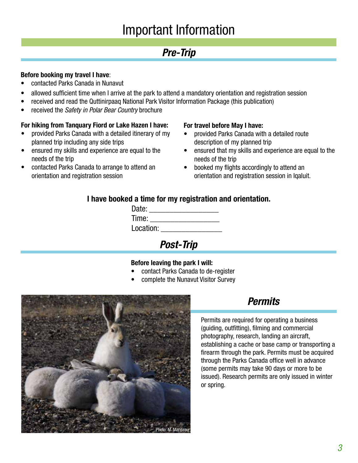### Important Information

#### **Pre-Trip**

#### **Before booking my travel I have**:

- contacted Parks Canada in Nunavut
- allowed sufficient time when I arrive at the park to attend a mandatory orientation and registration session
- received and read the Quttinirpaaq National Park Visitor Information Package (this publication)
- received the Safety in Polar Bear Country brochure

#### **For hiking from Tanquary Fiord or Lake Hazen I have:**

- provided Parks Canada with a detailed itinerary of my planned trip including any side trips
- ensured my skills and experience are equal to the needs of the trip
- • contacted Parks Canada to arrange to attend an orientation and registration session

#### **For travel before May I have:**

- • provided Parks Canada with a detailed route description of my planned trip
- ensured that my skills and experience are equal to the needs of the trip
- booked my flights accordingly to attend an orientation and registration session in Iqaluit.

#### **I have booked a time for my registration and orientation.**

| Date:     |  |
|-----------|--|
| Time:     |  |
| Location: |  |
|           |  |

**Post-Trip**

#### **Before leaving the park I will:**

- contact Parks Canada to de-register
- complete the Nunavut Visitor Survey



### **Permits**

Permits are required for operating a business (guiding, outfitting), filming and commercial photography, research, landing an aircraft, establishing a cache or base camp or transporting a firearm through the park. Permits must be acquired through the Parks Canada office well in advance (some permits may take 90 days or more to be issued). Research permits are only issued in winter or spring.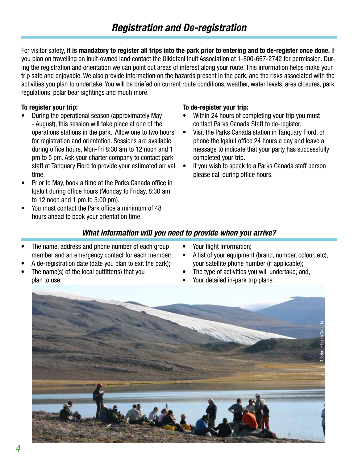For visitor safety, **it is mandatory to register all trips into the park prior to entering and to de-register once done.** If you plan on travelling on Inuit-owned land contact the Qikiqtani Inuit Association at 1-800-667-2742 for permission. During the registration and orientation we can point out areas of interest along your route. This information helps make your trip safe and enjoyable. We also provide information on the hazards present in the park, and the risks associated with the activities you plan to undertake. You will be briefed on current route conditions, weather, water levels, area closures, park regulations, polar bear sightings and much more.

#### **To register your trip:**

- During the operational season (approximately May - August), this session will take place at one of the operations stations in the park. Allow one to two hours for registration and orientation. Sessions are available during office hours, Mon-Fri 8:30 am to 12 noon and 1 pm to 5 pm. Ask your charter company to contact park staff at Tanquary Fiord to provide your estimated arrival time.
- Prior to May, book a time at the Parks Canada office in Iqaluit during office hours (Monday to Friday, 8:30 am to 12 noon and 1 pm to 5:00 pm).
- You must contact the Park office a minimum of 48 hours ahead to book your orientation time.

#### **To de-register your trip:**

- Within 24 hours of completing your trip you must contact Parks Canada Staff to de-register.
- Visit the Parks Canada station in Tanguary Fiord, or phone the Iqaluit office 24 hours a day and leave a message to indicate that your party has successfully completed your trip.
- If you wish to speak to a Parks Canada staff person please call during office hours.

#### **What information will you need to provide when you arrive?**

- The name, address and phone number of each group member and an emergency contact for each member;
- A de-registration date (date you plan to exit the park);
- The name(s) of the local outfitter(s) that you plan to use;
- Your flight information;
- A list of your equipment (brand, number, colour, etc), your satellite phone number (if applicable);
- The type of activities you will undertake; and,
- Your detailed in-park trip plans.

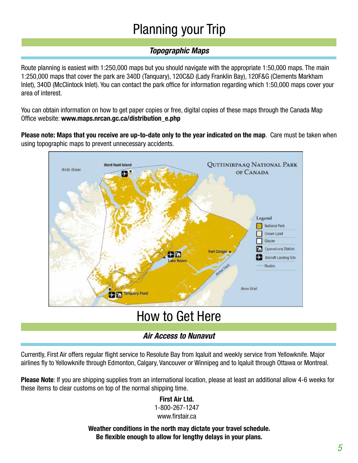## Planning your Trip

#### **Topographic Maps**

Route planning is easiest with 1:250,000 maps but you should navigate with the appropriate 1:50,000 maps. The main 1:250,000 maps that cover the park are 340D (Tanquary), 120C&D (Lady Franklin Bay), 120F&G (Clements Markham Inlet), 340D (McClintock Inlet). You can contact the park office for information regarding which 1:50,000 maps cover your area of interest.

You can obtain information on how to get paper copies or free, digital copies of these maps through the Canada Map Office website: **www.maps.nrcan.gc.ca/distribution\_e.php**

**Please note: Maps that you receive are up-to-date only to the year indicated on the map**. Care must be taken when using topographic maps to prevent unnecessary accidents.



### How to Get Here

#### **Air Access to Nunavut**

Currently, First Air offers regular flight service to Resolute Bay from Iqaluit and weekly service from Yellowknife. Major airlines fly to Yellowknife through Edmonton, Calgary, Vancouver or Winnipeg and to Iqaluit through Ottawa or Montreal.

**Please Note**: If you are shipping supplies from an international location, please at least an additional allow 4-6 weeks for these items to clear customs on top of the normal shipping time.

#### **First Air Ltd.**

1-800-267-1247

#### www.firstair.ca

**Weather conditions in the north may dictate your travel schedule. Be flexible enough to allow for lengthy delays in your plans.**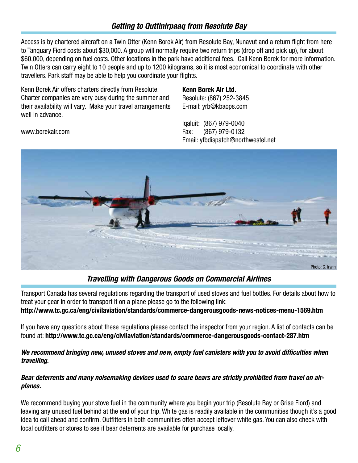#### **Getting to Quttinirpaaq from Resolute Bay**

Access is by chartered aircraft on a Twin Otter (Kenn Borek Air) from Resolute Bay, Nunavut and a return flight from here to Tanquary Fiord costs about \$30,000. A group will normally require two return trips (drop off and pick up), for about \$60,000, depending on fuel costs. Other locations in the park have additional fees. Call Kenn Borek for more information. Twin Otters can carry eight to 10 people and up to 1200 kilograms, so it is most economical to coordinate with other travellers. Park staff may be able to help you coordinate your flights.

Kenn Borek Air offers charters directly from Resolute. Charter companies are very busy during the summer and their availability will vary. Make your travel arrangements well in advance.

www.borekair.com

#### **Kenn Borek Air Ltd.**

Resolute: (867) 252-3845 E-mail: yrb@kbaops.com

Iqaluit: (867) 979-0040 Fax: (867) 979-0132 Email: yfbdispatch@northwestel.net



#### **Travelling with Dangerous Goods on Commercial Airlines**

Transport Canada has several regulations regarding the transport of used stoves and fuel bottles. For details about how to treat your gear in order to transport it on a plane please go to the following link: **http://www.tc.gc.ca/eng/civilaviation/standards/commerce-dangerousgoods-news-notices-menu-1569.htm**

If you have any questions about these regulations please contact the inspector from your region. A list of contacts can be found at: **http://www.tc.gc.ca/eng/civilaviation/standards/commerce-dangerousgoods-contact-287.htm**

#### **We recommend bringing new, unused stoves and new, empty fuel canisters with you to avoid difficulties when travelling.**

#### **Bear deterrents and many noisemaking devices used to scare bears are strictly prohibited from travel on airplanes.**

We recommend buying your stove fuel in the community where you begin your trip (Resolute Bay or Grise Fiord) and leaving any unused fuel behind at the end of your trip. White gas is readily available in the communities though it's a good idea to call ahead and confirm. Outfitters in both communities often accept leftover white gas. You can also check with local outfitters or stores to see if bear deterrents are available for purchase locally.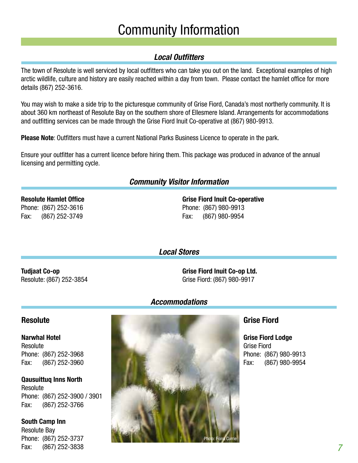### Community Information

#### **Local Outfitters**

The town of Resolute is well serviced by local outfitters who can take you out on the land. Exceptional examples of high arctic wildlife, culture and history are easily reached within a day from town. Please contact the hamlet office for more details (867) 252-3616.

You may wish to make a side trip to the picturesque community of Grise Fiord, Canada's most northerly community. It is about 360 km northeast of Resolute Bay on the southern shore of Ellesmere Island. Arrangements for accommodations and outfitting services can be made through the Grise Fiord Inuit Co-operative at (867) 980-9913.

**Please Note**: Outfitters must have a current National Parks Business Licence to operate in the park.

Ensure your outfitter has a current licence before hiring them. This package was produced in advance of the annual licensing and permitting cycle.

#### **Community Visitor Information**

**Resolute Hamlet Office** Phone: (867) 252-3616 Fax: (867) 252-3749

**Grise Fiord Inuit Co-operative** Phone: (867) 980-9913 Fax: (867) 980-9954

**Local Stores**

**Tudjaat Co-op** Resolute: (867) 252-3854 **Grise Fiord Inuit Co-op Ltd.** Grise Fiord: (867) 980-9917

#### **Accommodations**

#### **Resolute**

**Narwhal Hotel Resolute** Phone: (867) 252-3968 Fax: (867) 252-3960

**Qausuittuq Inns North**  Resolute Phone: (867) 252-3900 / 3901 Fax: (867) 252-3766

**South Camp Inn**  Resolute Bay Phone: (867) 252-3737 Fax: (867) 252-3838



#### **Grise Fiord**

**Grise Fiord Lodge** Grise Fiord Phone: (867) 980-9913 Fax: (867) 980-9954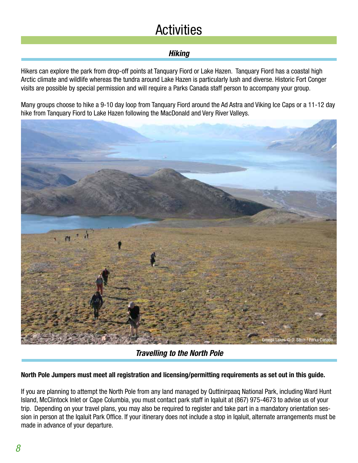### **Activities**

#### **Hiking**

Hikers can explore the park from drop-off points at Tanquary Fiord or Lake Hazen. Tanquary Fiord has a coastal high Arctic climate and wildlife whereas the tundra around Lake Hazen is particularly lush and diverse. Historic Fort Conger visits are possible by special permission and will require a Parks Canada staff person to accompany your group.

Many groups choose to hike a 9-10 day loop from Tanquary Fiord around the Ad Astra and Viking Ice Caps or a 11-12 day hike from Tanquary Fiord to Lake Hazen following the MacDonald and Very River Valleys.



**Travelling to the North Pole**

#### **North Pole Jumpers must meet all registration and licensing/permitting requirements as set out in this guide.**

If you are planning to attempt the North Pole from any land managed by Quttinirpaaq National Park, including Ward Hunt Island, McClintock Inlet or Cape Columbia, you must contact park staff in Iqaluit at (867) 975-4673 to advise us of your trip. Depending on your travel plans, you may also be required to register and take part in a mandatory orientation session in person at the Iqaluit Park Office. If your itinerary does not include a stop in Iqaluit, alternate arrangements must be made in advance of your departure.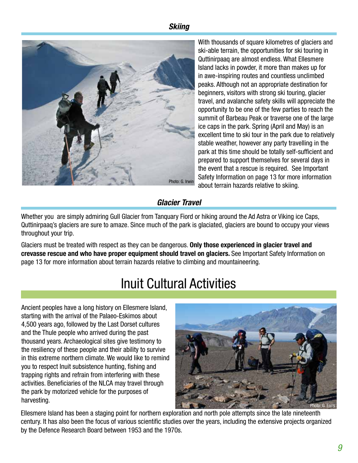#### **Skiing**



With thousands of square kilometres of glaciers and ski-able terrain, the opportunities for ski touring in Quttinirpaaq are almost endless. What Ellesmere Island lacks in powder, it more than makes up for in awe-inspiring routes and countless unclimbed peaks. Although not an appropriate destination for beginners, visitors with strong ski touring, glacier travel, and avalanche safety skills will appreciate the opportunity to be one of the few parties to reach the summit of Barbeau Peak or traverse one of the large ice caps in the park. Spring (April and May) is an excellent time to ski tour in the park due to relatively stable weather, however any party travelling in the park at this time should be totally self-sufficient and prepared to support themselves for several days in the event that a rescue is required. See Important Safety Information on page 13 for more information about terrain hazards relative to skiing.

#### **Glacier Travel**

Whether you are simply admiring Gull Glacier from Tanquary Fiord or hiking around the Ad Astra or Viking ice Caps, Quttinirpaaq's glaciers are sure to amaze. Since much of the park is glaciated, glaciers are bound to occupy your views throughout your trip.

Glaciers must be treated with respect as they can be dangerous. **Only those experienced in glacier travel and crevasse rescue and who have proper equipment should travel on glaciers.** See Important Safety Information on page 13 for more information about terrain hazards relative to climbing and mountaineering.

### Inuit Cultural Activities

Ancient peoples have a long history on Ellesmere Island, starting with the arrival of the Palaeo-Eskimos about 4,500 years ago, followed by the Last Dorset cultures and the Thule people who arrived during the past thousand years. Archaeological sites give testimony to the resiliency of these people and their ability to survive in this extreme northern climate. We would like to remind you to respect Inuit subsistence hunting, fishing and trapping rights and refrain from interfering with these activities. Beneficiaries of the NLCA may travel through the park by motorized vehicle for the purposes of harvesting.



Ellesmere Island has been a staging point for northern exploration and north pole attempts since the late nineteenth century. It has also been the focus of various scientific studies over the years, including the extensive projects organized by the Defence Research Board between 1953 and the 1970s.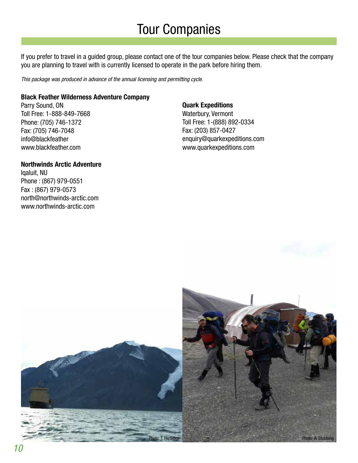### Tour Companies

If you prefer to travel in a guided group, please contact one of the tour companies below. Please check that the company you are planning to travel with is currently licensed to operate in the park before hiring them.

This package was produced in advance of the annual licensing and permitting cycle.

#### **Black Feather Wilderness Adventure Company**

Parry Sound, ON Toll Free: 1-888-849-7668 Phone: (705) 746-1372 Fax: (705) 746-7048 info@blackfeather www.blackfeather.com

#### **Northwinds Arctic Adventure**

Iqaluit, NU Phone : (867) 979-0551 Fax : (867) 979-0573 north@northwinds-arctic.com www.northwinds-arctic.com

#### **Quark Expeditions**

Waterbury, Vermont Toll Free: 1-(888) 892-0334 Fax: (203) 857-0427 enquiry@quarkexpeditions.com www.quarkexpeditions.com

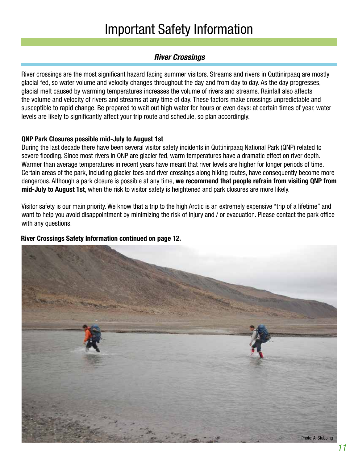### Important Safety Information

#### **River Crossings**

River crossings are the most significant hazard facing summer visitors. Streams and rivers in Quttinirpaaq are mostly glacial fed, so water volume and velocity changes throughout the day and from day to day. As the day progresses, glacial melt caused by warming temperatures increases the volume of rivers and streams. Rainfall also affects the volume and velocity of rivers and streams at any time of day. These factors make crossings unpredictable and susceptible to rapid change. Be prepared to wait out high water for hours or even days: at certain times of year, water levels are likely to significantly affect your trip route and schedule, so plan accordingly.

#### **QNP Park Closures possible mid-July to August 1st**

During the last decade there have been several visitor safety incidents in Quttinirpaaq National Park (QNP) related to severe flooding. Since most rivers in QNP are glacier fed, warm temperatures have a dramatic effect on river depth. Warmer than average temperatures in recent years have meant that river levels are higher for longer periods of time. Certain areas of the park, including glacier toes and river crossings along hiking routes, have consequently become more dangerous. Although a park closure is possible at any time, **we recommend that people refrain from visiting QNP from mid-July to August 1st**, when the risk to visitor safety is heightened and park closures are more likely.

Visitor safety is our main priority. We know that a trip to the high Arctic is an extremely expensive "trip of a lifetime" and want to help you avoid disappointment by minimizing the risk of injury and / or evacuation. Please contact the park office with any questions.

#### **River Crossings Safety Information continued on page 12.**

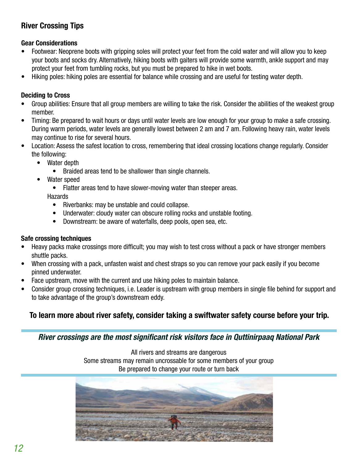#### **River Crossing Tips**

#### **Gear Considerations**

- Footwear: Neoprene boots with gripping soles will protect your feet from the cold water and will allow you to keep your boots and socks dry. Alternatively, hiking boots with gaiters will provide some warmth, ankle support and may protect your feet from tumbling rocks, but you must be prepared to hike in wet boots.
- Hiking poles: hiking poles are essential for balance while crossing and are useful for testing water depth.

#### **Deciding to Cross**

- Group abilities: Ensure that all group members are willing to take the risk. Consider the abilities of the weakest group member.
- Timing: Be prepared to wait hours or days until water levels are low enough for your group to make a safe crossing. During warm periods, water levels are generally lowest between 2 am and 7 am. Following heavy rain, water levels may continue to rise for several hours.
- Location: Assess the safest location to cross, remembering that ideal crossing locations change regularly. Consider the following:
	- Water depth
		- Braided areas tend to be shallower than single channels.
	- Water speed
		- Flatter areas tend to have slower-moving water than steeper areas.

**Hazards** 

- Riverbanks: may be unstable and could collapse.
- Underwater: cloudy water can obscure rolling rocks and unstable footing.
- Downstream: be aware of waterfalls, deep pools, open sea, etc.

#### **Safe crossing techniques**

- Heavy packs make crossings more difficult; you may wish to test cross without a pack or have stronger members shuttle packs.
- When crossing with a pack, unfasten waist and chest straps so you can remove your pack easily if you become pinned underwater.
- Face upstream, move with the current and use hiking poles to maintain balance.
- Consider group crossing techniques, i.e. Leader is upstream with group members in single file behind for support and to take advantage of the group's downstream eddy.

#### **To learn more about river safety, consider taking a swiftwater safety course before your trip.**

**River crossings are the most significant risk visitors face in Quttinirpaaq National Park**

All rivers and streams are dangerous Some streams may remain uncrossable for some members of your group Be prepared to change your route or turn back

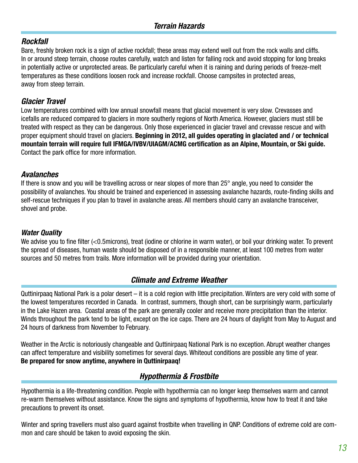#### **Rockfall**

Bare, freshly broken rock is a sign of active rockfall; these areas may extend well out from the rock walls and cliffs. In or around steep terrain, choose routes carefully, watch and listen for falling rock and avoid stopping for long breaks in potentially active or unprotected areas. Be particularly careful when it is raining and during periods of freeze-melt temperatures as these conditions loosen rock and increase rockfall. Choose campsites in protected areas, away from steep terrain.

#### **Glacier Travel**

Low temperatures combined with low annual snowfall means that glacial movement is very slow. Crevasses and icefalls are reduced compared to glaciers in more southerly regions of North America. However, glaciers must still be treated with respect as they can be dangerous. Only those experienced in glacier travel and crevasse rescue and with proper equipment should travel on glaciers. **Beginning in 2012, all guides operating in glaciated and / or technical mountain terrain will require full IFMGA/IVBV/UIAGM/ACMG certification as an Alpine, Mountain, or Ski guide.**  Contact the park office for more information.

#### **Avalanches**

If there is snow and you will be travelling across or near slopes of more than 25° angle, you need to consider the possibility of avalanches. You should be trained and experienced in assessing avalanche hazards, route-finding skills and self-rescue techniques if you plan to travel in avalanche areas. All members should carry an avalanche transceiver, shovel and probe.

#### **Water Quality**

We advise you to fine filter (<0.5microns), treat (iodine or chlorine in warm water), or boil your drinking water. To prevent the spread of diseases, human waste should be disposed of in a responsible manner, at least 100 metres from water sources and 50 metres from trails. More information will be provided during your orientation.

#### **Climate and Extreme Weather**

Quttinirpaaq National Park is a polar desert – it is a cold region with little precipitation. Winters are very cold with some of the lowest temperatures recorded in Canada. In contrast, summers, though short, can be surprisingly warm, particularly in the Lake Hazen area. Coastal areas of the park are generally cooler and receive more precipitation than the interior. Winds throughout the park tend to be light, except on the ice caps. There are 24 hours of daylight from May to August and 24 hours of darkness from November to February.

Weather in the Arctic is notoriously changeable and Quttinirpaaq National Park is no exception. Abrupt weather changes can affect temperature and visibility sometimes for several days. Whiteout conditions are possible any time of year. **Be prepared for snow anytime, anywhere in Quttinirpaaq!**

#### **Hypothermia & Frostbite**

Hypothermia is a life-threatening condition. People with hypothermia can no longer keep themselves warm and cannot re-warm themselves without assistance. Know the signs and symptoms of hypothermia, know how to treat it and take precautions to prevent its onset.

Winter and spring travellers must also guard against frostbite when travelling in QNP. Conditions of extreme cold are common and care should be taken to avoid exposing the skin.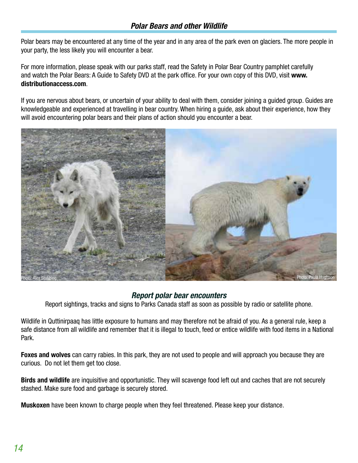#### **Polar Bears and other Wildlife**

Polar bears may be encountered at any time of the year and in any area of the park even on glaciers. The more people in your party, the less likely you will encounter a bear.

For more information, please speak with our parks staff, read the Safety in Polar Bear Country pamphlet carefully and watch the Polar Bears: A Guide to Safety DVD at the park office. For your own copy of this DVD, visit **www. distributionaccess.com**.

If you are nervous about bears, or uncertain of your ability to deal with them, consider joining a guided group. Guides are knowledgeable and experienced at travelling in bear country. When hiring a guide, ask about their experience, how they will avoid encountering polar bears and their plans of action should you encounter a bear.



#### **Report polar bear encounters**

Report sightings, tracks and signs to Parks Canada staff as soon as possible by radio or satellite phone.

Wildlife in Quttinirpaaq has little exposure to humans and may therefore not be afraid of you. As a general rule, keep a safe distance from all wildlife and remember that it is illegal to touch, feed or entice wildlife with food items in a National Park.

**Foxes and wolves** can carry rabies. In this park, they are not used to people and will approach you because they are curious. Do not let them get too close.

**Birds and wildlife** are inquisitive and opportunistic. They will scavenge food left out and caches that are not securely stashed. Make sure food and garbage is securely stored.

**Muskoxen** have been known to charge people when they feel threatened. Please keep your distance.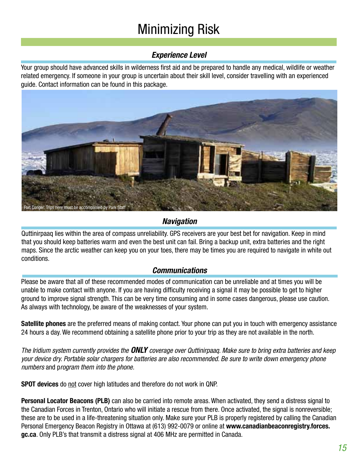## Minimizing Risk

#### **Experience Level**

Your group should have advanced skills in wilderness first aid and be prepared to handle any medical, wildlife or weather related emergency. If someone in your group is uncertain about their skill level, consider travelling with an experienced guide. Contact information can be found in this package.



#### **Navigation**

Quttinirpaaq lies within the area of compass unreliability. GPS receivers are your best bet for navigation. Keep in mind that you should keep batteries warm and even the best unit can fail. Bring a backup unit, extra batteries and the right maps. Since the arctic weather can keep you on your toes, there may be times you are required to navigate in white out conditions.

#### **Communications**

Please be aware that all of these recommended modes of communication can be unreliable and at times you will be unable to make contact with anyone. If you are having difficulty receiving a signal it may be possible to get to higher ground to improve signal strength. This can be very time consuming and in some cases dangerous, please use caution. As always with technology, be aware of the weaknesses of your system.

**Satellite phones** are the preferred means of making contact. Your phone can put you in touch with emergency assistance 24 hours a day. We recommend obtaining a satellite phone prior to your trip as they are not available in the north.

The Iridium system currently provides the **ONLY** coverage over Quttinirpaaq. Make sure to bring extra batteries and keep your device dry. Portable solar chargers for batteries are also recommended. Be sure to write down emergency phone numbers and program them into the phone.

**SPOT devices** do not cover high latitudes and therefore do not work in QNP.

**Personal Locator Beacons (PLB)** can also be carried into remote areas. When activated, they send a distress signal to the Canadian Forces in Trenton, Ontario who will initiate a rescue from there. Once activated, the signal is nonreversible; these are to be used in a life-threatening situation only. Make sure your PLB is properly registered by calling the Canadian Personal Emergency Beacon Registry in Ottawa at (613) 992-0079 or online at **www.canadianbeaconregistry.forces. gc.ca**. Only PLB's that transmit a distress signal at 406 MHz are permitted in Canada.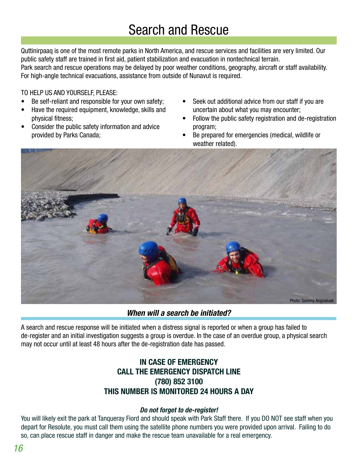### Search and Rescue

Quttinirpaaq is one of the most remote parks in North America, and rescue services and facilities are very limited. Our public safety staff are trained in first aid, patient stabilization and evacuation in nontechnical terrain. Park search and rescue operations may be delayed by poor weather conditions, geography, aircraft or staff availability. For high-angle technical evacuations, assistance from outside of Nunavut is required.

#### TO HELP US AND YOURSELF, PLEASE:

- Be self-reliant and responsible for your own safety;
- • Have the required equipment, knowledge, skills and physical fitness;
- Consider the public safety information and advice provided by Parks Canada;
- Seek out additional advice from our staff if you are uncertain about what you may encounter;
- Follow the public safety registration and de-registration program;
- Be prepared for emergencies (medical, wildlife or weather related).



**When will a search be initiated?**

A search and rescue response will be initiated when a distress signal is reported or when a group has failed to de-register and an initial investigation suggests a group is overdue. In the case of an overdue group, a physical search may not occur until at least 48 hours after the de-registration date has passed.

#### **IN CASE OF EMERGENCY CALL THE EMERGENCY DISPATCH LINE (780) 852 3100 THIS NUMBER IS MONITORED 24 HOURS A DAY**

#### **Do not forget to de-register!**

You will likely exit the park at Tanqueray Fiord and should speak with Park Staff there. If you DO NOT see staff when you depart for Resolute, you must call them using the satellite phone numbers you were provided upon arrival. Failing to do so, can place rescue staff in danger and make the rescue team unavailable for a real emergency.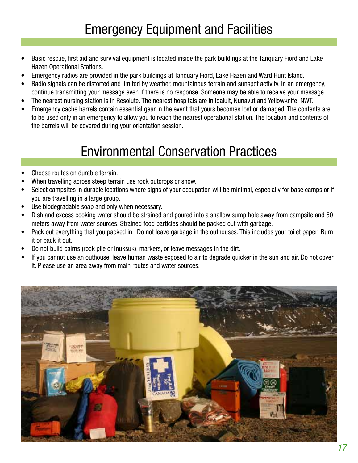### Emergency Equipment and Facilities

- Basic rescue, first aid and survival equipment is located inside the park buildings at the Tanquary Fiord and Lake Hazen Operational Stations.
- Emergency radios are provided in the park buildings at Tanquary Fiord, Lake Hazen and Ward Hunt Island.
- Radio signals can be distorted and limited by weather, mountainous terrain and sunspot activity. In an emergency, continue transmitting your message even if there is no response. Someone may be able to receive your message.
- The nearest nursing station is in Resolute. The nearest hospitals are in Igaluit, Nunavut and Yellowknife, NWT.
- Emergency cache barrels contain essential gear in the event that yours becomes lost or damaged. The contents are to be used only in an emergency to allow you to reach the nearest operational station. The location and contents of the barrels will be covered during your orientation session.

### Environmental Conservation Practices

- Choose routes on durable terrain.
- When travelling across steep terrain use rock outcrops or snow.
- Select campsites in durable locations where signs of your occupation will be minimal, especially for base camps or if you are travelling in a large group.
- Use biodegradable soap and only when necessary.
- Dish and excess cooking water should be strained and poured into a shallow sump hole away from campsite and 50 meters away from water sources. Strained food particles should be packed out with garbage.
- Pack out everything that you packed in. Do not leave garbage in the outhouses. This includes your toilet paper! Burn it or pack it out.
- Do not build cairns (rock pile or Inuksuk), markers, or leave messages in the dirt.
- If you cannot use an outhouse, leave human waste exposed to air to degrade quicker in the sun and air. Do not cover it. Please use an area away from main routes and water sources.

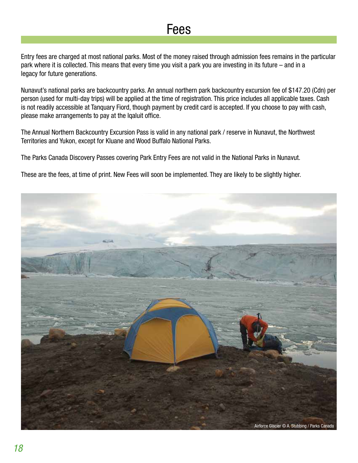### Fees

Entry fees are charged at most national parks. Most of the money raised through admission fees remains in the particular park where it is collected. This means that every time you visit a park you are investing in its future – and in a legacy for future generations.

Nunavut's national parks are backcountry parks. An annual northern park backcountry excursion fee of \$147.20 (Cdn) per person (used for multi-day trips) will be applied at the time of registration. This price includes all applicable taxes. Cash is not readily accessible at Tanquary Fiord, though payment by credit card is accepted. If you choose to pay with cash, please make arrangements to pay at the Iqaluit office.

The Annual Northern Backcountry Excursion Pass is valid in any national park / reserve in Nunavut, the Northwest Territories and Yukon, except for Kluane and Wood Buffalo National Parks.

The Parks Canada Discovery Passes covering Park Entry Fees are not valid in the National Parks in Nunavut.

These are the fees, at time of print. New Fees will soon be implemented. They are likely to be slightly higher.

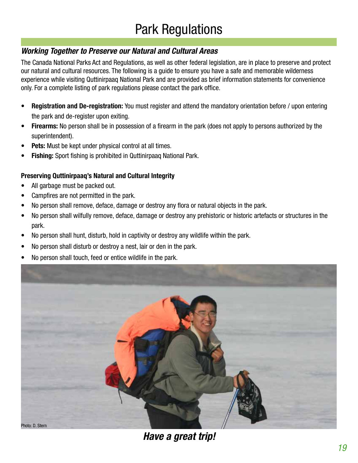#### **Working Together to Preserve our Natural and Cultural Areas**

The Canada National Parks Act and Regulations, as well as other federal legislation, are in place to preserve and protect our natural and cultural resources. The following is a guide to ensure you have a safe and memorable wilderness experience while visiting Quttinirpaaq National Park and are provided as brief information statements for convenience only. For a complete listing of park regulations please contact the park office.

- **• Registration and De-registration:** You must register and attend the mandatory orientation before / upon entering the park and de-register upon exiting.
- **Firearms:** No person shall be in possession of a firearm in the park (does not apply to persons authorized by the superintendent).
- **Pets:** Must be kept under physical control at all times.
- **Fishing:** Sport fishing is prohibited in Quttinirpaaq National Park.

#### **Preserving Quttinirpaaq's Natural and Cultural Integrity**

- All garbage must be packed out.
- Campfires are not permitted in the park.
- No person shall remove, deface, damage or destroy any flora or natural objects in the park.
- No person shall wilfully remove, deface, damage or destroy any prehistoric or historic artefacts or structures in the park.
- No person shall hunt, disturb, hold in captivity or destroy any wildlife within the park.
- No person shall disturb or destroy a nest, lair or den in the park.
- No person shall touch, feed or entice wildlife in the park.



**Have a great trip!**